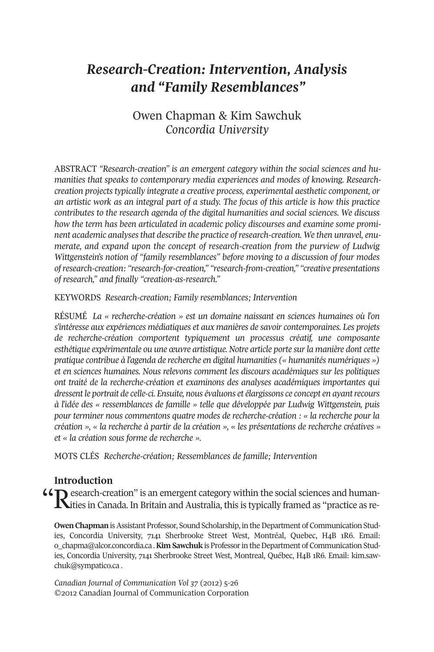# *Research-Creation: Intervention, Analysis and "Family Resemblances"*

# Owen Chapman & Kim Sawchuk *Concordia University*

AbStrACt *"Research-creation" is an emergent category within the social sciences and humanities that speaks to contemporary media experiences and modes of knowing. Researchcreation projects typically integrate a creative process, experimental aesthetic component, or* an artistic work as an integral part of a study. The focus of this article is how this practice *contributes to the research agenda of the digital humanities and social sciences. We discuss how the term has been articulated in academic policy discourses and examine some prominent academic analysesthat describe the practice ofresearch-creation. We then unravel, enumerate, and expand upon the concept of research-creation from the purview of Ludwig Wittgenstein's notion of "family resemblances" before moving to a discussion of four modes ofresearch-creation: "research-for-creation," "research-from-creation," "creative presentations of research," and finally "creation-as-research."*

KeywOrdS *Research-creation; Family resemblances; Intervention*

réSumé *La « recherche-création » est un domaine naissant en sciences humaines où l'on s'intéresse aux expériences médiatiques et aux manières de savoir contemporaines. Les projets de recherche-création comportent typiquement un processus créatif, une composante esthétique expérimentale ou une œuvre artistique. Notre article porte surla manière dont cette pratique contribue à l'agenda de recherche en digital humanities (« humanités numériques ») et en sciences humaines. Nous relevons comment les discours académiques sur les politiques ont traité de la recherche-création et examinons des analyses académiques importantes qui dressent le portrait de celle-ci. Ensuite, nous évaluons et élargissons ce concept en ayantrecours à l'idée des « ressemblances de famille » telle que développée par Ludwig Wittgenstein, puis pour terminer nous commentons quatre modes de recherche-création : « la recherche pour la création », « la recherche à partir de la création », « les présentations de recherche créatives » et « la création sous forme de recherche ».*

mOtS CLéS *Recherche-création; Ressemblances de famille; Intervention*

# **Introduction**

44 Research-creation" is an emergent category within the social sciences and human-<br>dities in Canada. In Britain and Australia, this is typically framed as "practice as re-

**Owen Chapman** is Assistant Professor, Sound Scholarship, in the Department of Communication Studies, Concordia University, 7141 Sherbrooke Street West, Montréal, Quebec, H4B 1R6. Email: [o\\_chapma@alcor.concordia.ca](mailto:o_chapma@alcor.concordia.ca) . **Kim Sawchuk** is Professor in the Department of Communication Studies, Concordia University, 7141 Sherbrooke Street West, Montreal, Québec, H4B 1R6. Email: [kim.saw](mailto:kim.sawchuk@sympatico.ca)[chuk@sympatico.ca](mailto:kim.sawchuk@sympatico.ca) .

*Canadian Journal of Communication Vol 37* (2012) 5-26 ©2012 Canadian Journal of Communication Corporation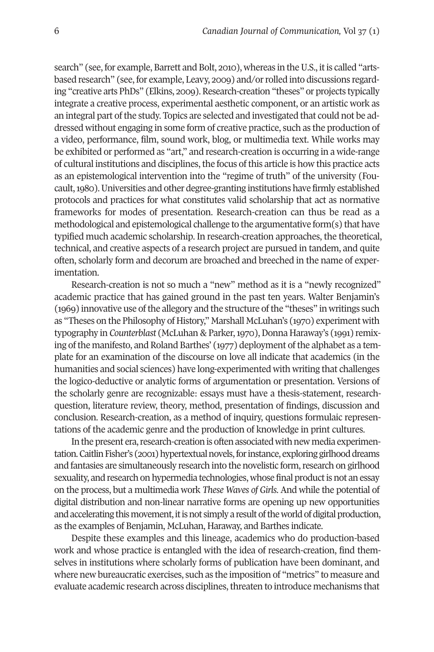search" (see, for example, Barrett and Bolt, 2010), whereas in the U.S., it is called "artsbased research" (see, for example, Leavy, 2009) and/orrolled into discussions regarding "creative arts PhDs" (Elkins, 2009). Research-creation "theses" or projects typically integrate a creative process, experimental aesthetic component, or an artistic work as an integral part of the study. Topics are selected and investigated that could not be addressed without engaging in some form of creative practice, such as the production of a video, performance, film, sound work, blog, or multimedia text. while works may be exhibited or performed as "art," and research-creation is occurring in a wide-range of cultural institutions and disciplines, the focus of this article is how this practice acts as an epistemological intervention into the "regime of truth" of the university (Foucault, 1980). Universities and other degree-granting institutions have firmly established protocols and practices for what constitutes valid scholarship that act as normative frameworks for modes of presentation. Research-creation can thus be read as a methodological and epistemological challenge to the argumentative form(s) that have typified much academic scholarship. In research-creation approaches, the theoretical, technical, and creative aspects of a research project are pursued in tandem, and quite often, scholarly form and decorum are broached and breeched in the name of experimentation.

Research-creation is not so much a "new" method as it is a "newly recognized" academic practice that has gained ground in the past ten years. walter benjamin's (1969) innovative use of the allegory and the structure of the "theses" in writings such as "theses on the Philosophy of History," marshall mcLuhan's (1970) experiment with typography in *Counterblast* (McLuhan & Parker, 1970), Donna Haraway's (1991) remixing of the manifesto, and Roland Barthes' (1977) deployment of the alphabet as a template for an examination of the discourse on love all indicate that academics (in the humanities and social sciences) have long-experimented with writing that challenges the logico-deductive or analytic forms of argumentation or presentation. Versions of the scholarly genre are recognizable: essays must have a thesis-statement, researchquestion, literature review, theory, method, presentation of findings, discussion and conclusion. Research-creation, as a method of inquiry, questions formulaic representations of the academic genre and the production of knowledge in print cultures.

In the present era, research-creation is often associated with new media experimentation. Caitlin Fisher's (2001) hypertextual novels, for instance, exploring girlhood dreams and fantasies are simultaneously research into the novelistic form, research on girlhood sexuality, and research on hypermedia technologies, whose final product is not an essay on the process, but a multimedia work *These Waves of Girls*. And while the potential of digital distribution and non-linear narrative forms are opening up new opportunities and accelerating this movement, it is not simply a result of the world of digital production, as the examples of benjamin, mcLuhan, Haraway, and barthes indicate.

Despite these examples and this lineage, academics who do production-based work and whose practice is entangled with the idea of research-creation, find themselves in institutions where scholarly forms of publication have been dominant, and where new bureaucratic exercises, such as the imposition of "metrics" to measure and evaluate academic research across disciplines, threaten to introduce mechanisms that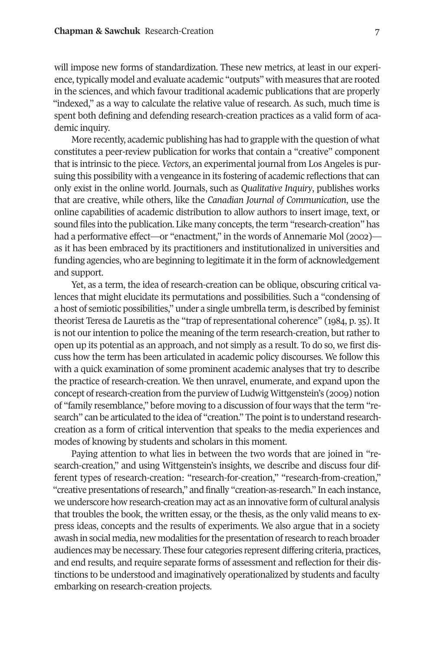will impose new forms of standardization. These new metrics, at least in our experience,typically model and evaluate academic "outputs" with measures that are rooted in the sciences, and which favour traditional academic publications that are properly "indexed," as a way to calculate the relative value of research. As such, much time is spent both defining and defending research-creation practices as a valid form of academic inquiry.

more recently, academic publishing has had to grapple with the question of what constitutes a peer-review publication for works that contain a "creative" component that is intrinsic to the piece. *Vectors*, an experimental journal from Los Angeles is pursuing this possibility with a vengeance in its fostering of academic reflections that can only exist in the online world. Journals, such as *Qualitative Inquiry*, publishes works that are creative, while others, like the *Canadian Journal of Communication*, use the online capabilities of academic distribution to allow authors to insert image, text, or sound files into the publication. Like many concepts, the term "research-creation" has had a performative effect—or "enactment," in the words of Annemarie Mol (2002) as it has been embraced by its practitioners and institutionalized in universities and funding agencies, who are beginning to legitimate it in the form of acknowledgement and support.

Yet, as a term, the idea of research-creation can be oblique, obscuring critical valences that might elucidate its permutations and possibilities. Such a "condensing of a host of semiotic possibilities," under a single umbrella term, is described by feminist theorist Teresa de Lauretis as the "trap of representational coherence" (1984, p. 35). It is not our intention to police the meaning of the term research-creation, but rather to open up its potential as an approach, and not simply as a result. to do so, we first discuss how the term has been articulated in academic policy discourses. we follow this with a quick examination of some prominent academic analyses that try to describe the practice of research-creation. we then unravel, enumerate, and expand upon the concept ofresearch-creation from the purview of Ludwig wittgenstein's (2009) notion of "family resemblance," before moving to a discussion of four ways that the term "research" can be articulated to the idea of "creation." The point is to understand researchcreation as a form of critical intervention that speaks to the media experiences and modes of knowing by students and scholars in this moment.

Paying attention to what lies in between the two words that are joined in "research-creation," and using wittgenstein's insights, we describe and discuss four different types of research-creation: "research-for-creation," "research-from-creation," "creative presentations ofresearch," and finally "creation-as-research." In each instance, we underscore how research-creation may act as an innovative form of cultural analysis that troubles the book, the written essay, or the thesis, as the only valid means to express ideas, concepts and the results of experiments. we also argue that in a society awash in social media, new modalities forthe presentation ofresearch to reach broader audiences may be necessary. these four categories represent differing criteria, practices, and end results, and require separate forms of assessment and reflection for their distinctions to be understood and imaginatively operationalized by students and faculty embarking on research-creation projects.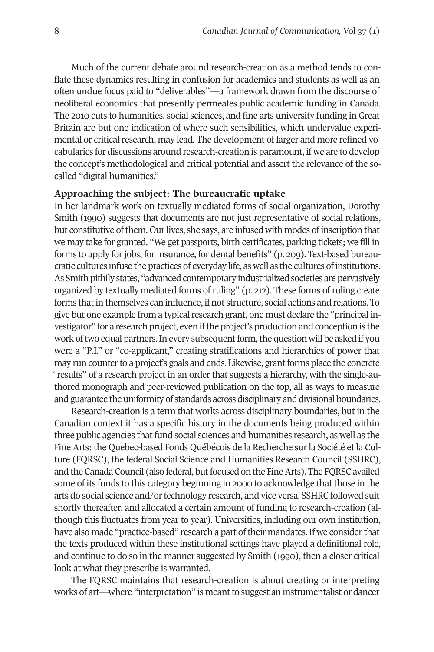much of the current debate around research-creation as a method tends to conflate these dynamics resulting in confusion for academics and students as well as an often undue focus paid to "deliverables"—a framework drawn from the discourse of neoliberal economics that presently permeates public academic funding in Canada. the 2010 cuts to humanities, social sciences, and fine arts university funding in Great britain are but one indication of where such sensibilities, which undervalue experimental or critical research, may lead. The development of larger and more refined vocabularies for discussions around research-creation is paramount, if we are to develop the concept's methodological and critical potential and assert the relevance of the socalled "digital humanities."

#### **Approaching the subject: The bureaucratic uptake**

In her landmark work on textually mediated forms of social organization, dorothy Smith (1990) suggests that documents are not just representative of social relations, but constitutive of them. Our lives, she says, are infused with modes of inscription that we may take for granted. "we get passports, birth certificates, parking tickets; we fill in forms to apply for jobs, for insurance, for dental benefits" (p. 209). Text-based bureaucratic cultures infuse the practices of everyday life, as well as the cultures ofinstitutions. As Smith pithily states, "advanced contemporary industrialized societies are pervasively organized by textually mediated forms of ruling" (p. 212). these forms of ruling create forms that in themselves can influence, if not structure, social actions and relations. To give but one example from a typical research grant, one must declare the "principal investigator" for a research project, even ifthe project's production and conception is the work of two equal partners. In every subsequent form, the question will be asked if you were a "P.I." or "co-applicant," creating stratifications and hierarchies of power that may run counter to a project's goals and ends. Likewise, grant forms place the concrete "results" of a research project in an order that suggests a hierarchy, with the single-authored monograph and peer-reviewed publication on the top, all as ways to measure and guarantee the uniformity of standards across disciplinary and divisional boundaries.

Research-creation is a term that works across disciplinary boundaries, but in the Canadian context it has a specific history in the documents being produced within three public agencies that fund social sciences and humanities research, as well as the Fine Arts: the Quebec-based Fonds Québécois de la recherche surla Société et la Culture (FQrSC), the federal Social Science and Humanities research Council (SSHrC), and the Canada Council (also federal, but focused on the Fine Arts). The FQRSC availed some of its funds to this category beginning in 2000 to acknowledge that those in the arts do social science and/or technology research, and vice versa. SSHRC followed suit shortly thereafter, and allocated a certain amount of funding to research-creation (although this fluctuates from year to year). universities, including our own institution, have also made "practice-based" research a part of their mandates. If we consider that the texts produced within these institutional settings have played a definitional role, and continue to do so in the manner suggested by Smith (1990), then a closer critical look at what they prescribe is warranted.

The FQRSC maintains that research-creation is about creating or interpreting works of art—where "interpretation" is meant to suggest an instrumentalist or dancer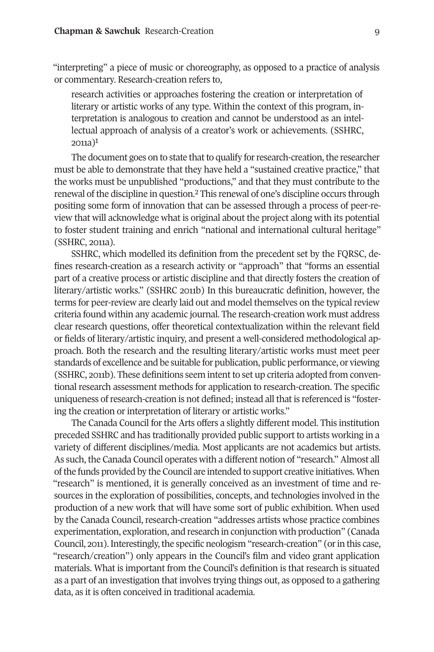"interpreting" a piece of music or choreography, as opposed to a practice of analysis or commentary. Research-creation refers to,

research activities or approaches fostering the creation or interpretation of literary or artistic works of any type. within the context of this program, interpretation is analogous to creation and cannot be understood as an intellectual approach of analysis of a creator's work or achievements. (SSHrC,  $2011a)^1$ 

The document goes on to state that to qualify for research-creation, the researcher must be able to demonstrate that they have held a "sustained creative practice," that the works must be unpublished "productions," and that they must contribute to the renewal of the discipline in question.² this renewal of one's discipline occurs through positing some form of innovation that can be assessed through a process of peer-review that will acknowledge what is original about the project along with its potential to foster student training and enrich "national and international cultural heritage" (SSHRC, 2011a).

SSHRC, which modelled its definition from the precedent set by the FQRSC, defines research-creation as a research activity or "approach" that "forms an essential part of a creative process or artistic discipline and that directly fosters the creation of literary/artistic works." (SSHrC 2011b) In this bureaucratic definition, however, the terms for peer-review are clearly laid out and model themselves on the typical review criteria found within any academic journal. the research-creation work must address clear research questions, offer theoretical contextualization within the relevant field or fields of literary/artistic inquiry, and present a well-considered methodological approach. both the research and the resulting literary/artistic works must meet peer standards of excellence and be suitable for publication, public performance, or viewing (SSHRC, 2011b). These definitions seem intent to set up criteria adopted from conventional research assessment methods for application to research-creation. the specific uniqueness ofresearch-creation is not defined; instead all that is referenced is "fostering the creation or interpretation of literary or artistic works."

The Canada Council for the Arts offers a slightly different model. This institution preceded SSHrC and has traditionally provided public support to artists working in a variety of different disciplines/media. most applicants are not academics but artists. As such, the Canada Council operates with a different notion of "research." Almost all ofthe funds provided by the Council are intended to support creative initiatives. when "research" is mentioned, it is generally conceived as an investment of time and resources in the exploration of possibilities, concepts, and technologies involved in the production of a new work that will have some sort of public exhibition. when used by the Canada Council, research-creation "addresses artists whose practice combines experimentation, exploration, and research in conjunction with production" (Canada Council, 2011). Interestingly, the specific neologism "research-creation" (or in this case, "research/creation") only appears in the Council's film and video grant application materials. what is important from the Council's definition is that research is situated as a part of an investigation that involves trying things out, as opposed to a gathering data, as it is often conceived in traditional academia.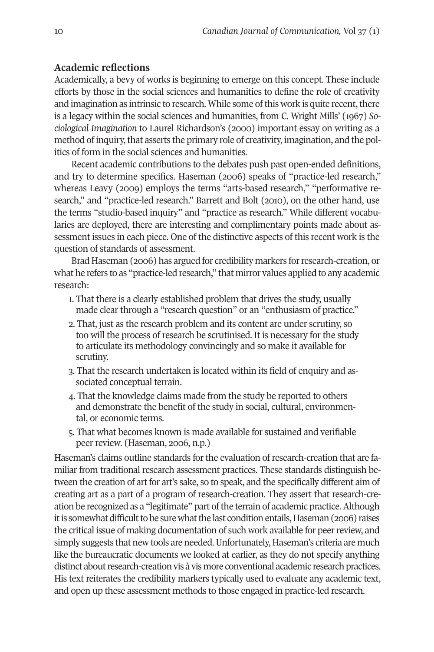#### **Academic reflections**

Academically, a bevy of works is beginning to emerge on this concept. these include efforts by those in the social sciences and humanities to define the role of creativity and imagination as intrinsic to research. While some of this work is quite recent, there is a legacy within the social sciences and humanities, from C. wright mills' (1967) *Sociological Imagination* to Laurel Richardson's (2000) important essay on writing as a method of inquiry, that asserts the primary role of creativity, imagination, and the politics of form in the social sciences and humanities.

Recent academic contributions to the debates push past open-ended definitions, and try to determine specifics. Haseman (2006) speaks of "practice-led research," whereas Leavy (2009) employs the terms "arts-based research," "performative research," and "practice-led research." barrett and bolt (2010), on the other hand, use the terms "studio-based inquiry" and "practice as research." while different vocabularies are deployed, there are interesting and complimentary points made about assessment issues in each piece. One of the distinctive aspects of this recent work is the question of standards of assessment.

brad Haseman (2006) has argued for credibility markers forresearch-creation, or what he refers to as "practice-led research," that mirror values applied to any academic research:

- 1. That there is a clearly established problem that drives the study, usually made clear through a "research question" or an "enthusiasm of practice."
- 2. that, just as the research problem and its content are under scrutiny, so too will the process of research be scrutinised. It is necessary for the study to articulate its methodology convincingly and so make it available for scrutiny.
- 3. that the research undertaken is located within its field of enquiry and associated conceptual terrain.
- 4. that the knowledge claims made from the study be reported to others and demonstrate the benefit of the study in social, cultural, environmental, or economic terms.
- 5. that what becomes known is made available for sustained and verifiable peer review. (Haseman, 2006, n.p.)

Haseman's claims outline standards for the evaluation of research-creation that are familiar from traditional research assessment practices. these standards distinguish between the creation of art for art's sake, so to speak, and the specifically different aim of creating art as a part of a program of research-creation. they assert that research-creation be recognized as a "legitimate" part of the terrain of academic practice. Although it is somewhat difficult to be sure what the last condition entails, Haseman (2006) raises the critical issue of making documentation of such work available for peerreview, and simply suggests that new tools are needed. Unfortunately, Haseman's criteria are much like the bureaucratic documents we looked at earlier, as they do not specify anything distinct about research-creation vis à vis more conventional academic research practices. His text reiterates the credibility markers typically used to evaluate any academic text, and open up these assessment methods to those engaged in practice-led research.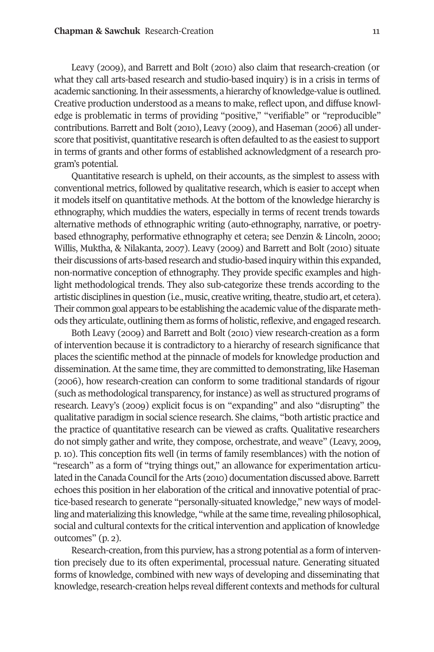Leavy (2009), and barrett and bolt (2010) also claim that research-creation (or what they call arts-based research and studio-based inquiry) is in a crisis in terms of academic sanctioning. In their assessments, a hierarchy of knowledge-value is outlined. Creative production understood as a means to make, reflect upon, and diffuse knowledge is problematic in terms of providing "positive," "verifiable" or "reproducible" contributions. barrett and bolt (2010), Leavy (2009), and Haseman (2006) all underscore that positivist, quantitative research is often defaulted to as the easiest to support in terms of grants and other forms of established acknowledgment of a research program's potential.

Quantitative research is upheld, on their accounts, as the simplest to assess with conventional metrics, followed by qualitative research, which is easier to accept when it models itself on quantitative methods. At the bottom of the knowledge hierarchy is ethnography, which muddies the waters, especially in terms of recent trends towards alternative methods of ethnographic writing (auto-ethnography, narrative, or poetrybased ethnography, performative ethnography et cetera; see denzin & Lincoln, 2000; willis, muktha, & Nilakanta, 2007). Leavy (2009) and barrett and bolt (2010) situate their discussions of arts-based research and studio-based inquiry within this expanded, non-normative conception of ethnography. they provide specific examples and highlight methodological trends. they also sub-categorize these trends according to the artistic disciplines in question (i.e., music, creative writing,theatre, studio art, et cetera). their commongoal appears to be establishing the academic value ofthe disparatemethods they articulate, outlining them as forms of holistic, reflexive, and engaged research.

both Leavy (2009) and barrett and bolt (2010) view research-creation as a form of intervention because it is contradictory to a hierarchy of research significance that places the scientific method at the pinnacle of models for knowledge production and dissemination. At the same time, they are committed to demonstrating, like Haseman (2006), how research-creation can conform to some traditional standards of rigour (such as methodological transparency, forinstance) as well as structured programs of research. Leavy's (2009) explicit focus is on "expanding" and also "disrupting" the qualitative paradigm in social science research. She claims, "both artistic practice and the practice of quantitative research can be viewed as crafts. Qualitative researchers do not simply gather and write, they compose, orchestrate, and weave" (Leavy, 2009, p. 10). this conception fits well (in terms of family resemblances) with the notion of "research" as a form of "trying things out," an allowance for experimentation articulated in the Canada Council for the Arts (2010) documentation discussed above. Barrett echoes this position in her elaboration of the critical and innovative potential of practice-based research to generate "personally-situated knowledge," new ways of modelling and materializing this knowledge, "while at the same time, revealing philosophical, social and cultural contexts forthe critical intervention and application of knowledge outcomes" (p. 2).

Research-creation, from this purview, has a strong potential as a form of intervention precisely due to its often experimental, processual nature. Generating situated forms of knowledge, combined with new ways of developing and disseminating that knowledge, research-creation helps reveal different contexts and methods for cultural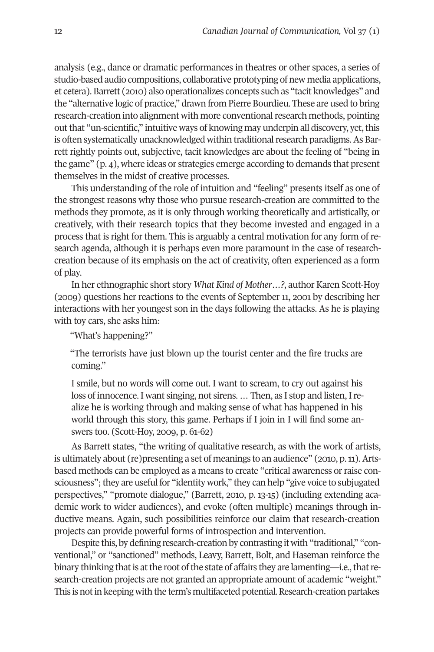analysis (e.g., dance or dramatic performances in theatres or other spaces, a series of studio-based audio compositions, collaborative prototyping of new media applications, et cetera). barrett (2010) also operationalizes concepts such as "tacit knowledges" and the "alternative logic of practice," drawn from Pierre Bourdieu. These are used to bring research-creation into alignment with more conventionalresearch methods, pointing out that "un-scientific," intuitive ways of knowing may underpin all discovery, yet, this is often systematically unacknowledged within traditional research paradigms. As Barrett rightly points out, subjective, tacit knowledges are about the feeling of "being in the game" (p. 4), where ideas or strategies emerge according to demands that present themselves in the midst of creative processes.

This understanding of the role of intuition and "feeling" presents itself as one of the strongest reasons why those who pursue research-creation are committed to the methods they promote, as it is only through working theoretically and artistically, or creatively, with their research topics that they become invested and engaged in a process that is right for them. this is arguably a central motivation for any form of research agenda, although it is perhaps even more paramount in the case of researchcreation because of its emphasis on the act of creativity, often experienced as a form of play.

In her ethnographic short story *What Kind of Mother*…*?*, author Karen Scott-Hoy (2009) questions her reactions to the events of September 11, 2001 by describing her interactions with her youngest son in the days following the attacks. As he is playing with toy cars, she asks him:

"what's happening?"

"the terrorists have just blown up the tourist center and the fire trucks are coming."

I smile, but no words will come out. I want to scream, to cry out against his loss of innocence. I want singing, not sirens. ... Then, as I stop and listen, I realize he is working through and making sense of what has happened in his world through this story, this game. Perhaps if I join in I will find some answers too. (Scott-Hoy, 2009, p. 61-62)

As barrett states, "the writing of qualitative research, as with the work of artists, is ultimately about (re)presenting a set of meanings to an audience" (2010, p. 11). Artsbased methods can be employed as a means to create "critical awareness orraise consciousness"; they are useful for "identity work," they can help "give voice to subjugated perspectives," "promote dialogue," (barrett, 2010, p. 13-15) (including extending academic work to wider audiences), and evoke (often multiple) meanings through inductive means. Again, such possibilities reinforce our claim that research-creation projects can provide powerful forms of introspection and intervention.

Despite this, by defining research-creation by contrasting it with "traditional," "conventional," or "sanctioned" methods, Leavy, barrett, bolt, and Haseman reinforce the binary thinking that is at the root of the state of affairs they are lamenting—i.e., that research-creation projects are not granted an appropriate amount of academic "weight." This is not in keeping with the term's multifaceted potential. Research-creation partakes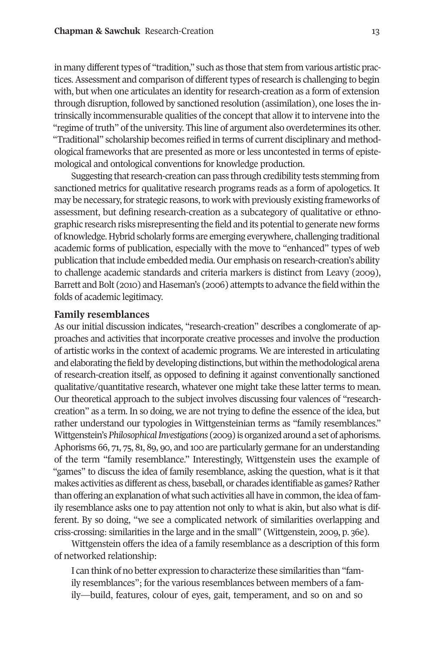in many different types of "tradition," such as those that stem from various artistic practices. Assessment and comparison of different types ofresearch is challenging to begin with, but when one articulates an identity for research-creation as a form of extension through disruption, followed by sanctioned resolution (assimilation), one loses the intrinsically incommensurable qualities of the concept that allow it to intervene into the "regime of truth" of the university. this line of argument also overdetermines its other. "traditional" scholarship becomes reified in terms of current disciplinary and methodological frameworks that are presented as more or less uncontested in terms of epistemological and ontological conventions for knowledge production.

Suggesting that research-creation can pass through credibility tests stemming from sanctioned metrics for qualitative research programs reads as a form of apologetics. It may be necessary, for strategic reasons, to work with previously existing frameworks of assessment, but defining research-creation as a subcategory of qualitative or ethnographic research risks misrepresenting the field and its potentialto generate new forms of knowledge. Hybrid scholarly forms are emerging everywhere, challenging traditional academic forms of publication, especially with the move to "enhanced" types of web publication thatinclude embedded media. Our emphasis on research-creation's ability to challenge academic standards and criteria markers is distinct from Leavy (2009), Barrett and Bolt (2010) and Haseman's (2006) attempts to advance the field within the folds of academic legitimacy.

#### **Family resemblances**

As our initial discussion indicates, "research-creation" describes a conglomerate of approaches and activities that incorporate creative processes and involve the production of artistic works in the context of academic programs. we are interested in articulating and elaborating the field by developing distinctions, but within the methodological arena of research-creation itself, as opposed to defining it against conventionally sanctioned qualitative/quantitative research, whatever one might take these latter terms to mean. Our theoretical approach to the subject involves discussing four valences of "researchcreation" as a term. In so doing, we are not trying to define the essence of the idea, but rather understand our typologies in wittgensteinian terms as "family resemblances." wittgenstein's*PhilosophicalInvestigations* (2009) is organized around a set of aphorisms. Aphorisms 66, 71, 75, 81, 89, 90, and 100 are particularly germane for an understanding of the term "family resemblance." Interestingly, wittgenstein uses the example of "games" to discuss the idea of family resemblance, asking the question, what is it that makes activities as different as chess, baseball, or charades identifiable as games? Rather than offering an explanation of what such activities all have in common, the idea of family resemblance asks one to pay attention not only to what is akin, but also what is different. by so doing, "we see a complicated network of similarities overlapping and criss-crossing: similarities in the large and in the small" (wittgenstein, 2009, p. 36e).

wittgenstein offers the idea of a family resemblance as a description of this form of networked relationship:

I can think of no better expression to characterize these similarities than "family resemblances"; for the various resemblances between members of a family—build, features, colour of eyes, gait, temperament, and so on and so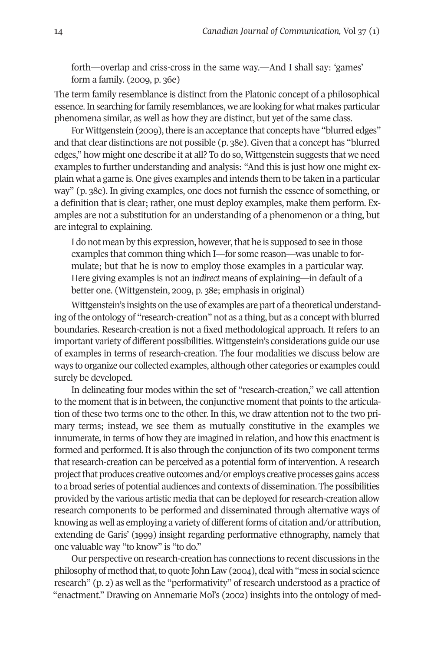forth—overlap and criss-cross in the same way.—And I shall say: 'games' form a family. (2009, p. 36e)

the term family resemblance is distinct from the Platonic concept of a philosophical essence. In searching for family resemblances, we are looking for what makes particular phenomena similar, as well as how they are distinct, but yet of the same class.

For Wittgenstein (2009), there is an acceptance that concepts have "blurred edges" and that clear distinctions are not possible (p. 38e). Given that a concept has "blurred edges," how might one describe it at all? to do so, wittgenstein suggests that we need examples to further understanding and analysis: "And this is just how one might explain what a game is. One gives examples and intends them to be taken in a particular way" (p. 38e). In giving examples, one does not furnish the essence of something, or a definition that is clear; rather, one must deploy examples, make them perform. Examples are not a substitution for an understanding of a phenomenon or a thing, but are integral to explaining.

I do not mean by this expression, however, that he is supposed to see in those examples that common thing which I—for some reason—was unable to formulate; but that he is now to employ those examples in a particular way. Here giving examples is not an *indirect* means of explaining—in default of a better one. (wittgenstein, 2009, p. 38e; emphasis in original)

wittgenstein's insights on the use of examples are part of a theoretical understanding ofthe ontology of "research-creation" not as a thing, but as a concept with blurred boundaries. Research-creation is not a fixed methodological approach. It refers to an important variety of different possibilities. wittgenstein's considerations guide our use of examples in terms of research-creation. the four modalities we discuss below are ways to organize our collected examples, although other categories or examples could surely be developed.

In delineating four modes within the set of "research-creation," we call attention to the moment that is in between, the conjunctive moment that points to the articulation of these two terms one to the other. In this, we draw attention not to the two primary terms; instead, we see them as mutually constitutive in the examples we innumerate, in terms of how they are imagined in relation, and how this enactment is formed and performed. It is also through the conjunction of its two component terms that research-creation can be perceived as a potential form of intervention. A research project that produces creative outcomes and/or employs creative processes gains access to a broad series of potential audiences and contexts of dissemination. the possibilities provided by the various artistic media that can be deployed forresearch-creation allow research components to be performed and disseminated through alternative ways of knowing as well as employing a variety of different forms of citation and/or attribution, extending de Garis' (1999) insight regarding performative ethnography, namely that one valuable way "to know" is "to do."

Our perspective on research-creation has connections to recent discussions in the philosophy of method that, to quote John Law (2004), deal with "mess in social science research" (p. 2) as well as the "performativity" of research understood as a practice of "enactment." Drawing on Annemarie Mol's (2002) insights into the ontology of med-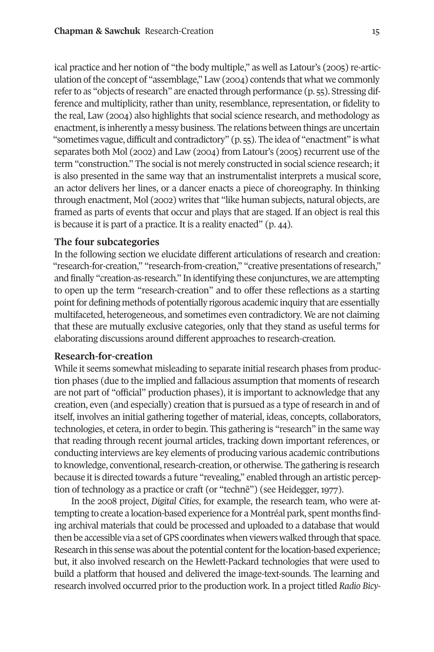ical practice and her notion of "the body multiple," as well as Latour's (2005) re-articulation of the concept of "assemblage," Law (2004) contends that what we commonly refer to as "objects of research" are enacted through performance (p. 55). Stressing difference and multiplicity, rather than unity, resemblance, representation, or fidelity to the real, Law (2004) also highlights that social science research, and methodology as enactment, is inherently a messy business. the relations between things are uncertain "sometimes vague, difficult and contradictory" (p. 55). the idea of "enactment" is what separates both mol (2002) and Law (2004) from Latour's (2005) recurrent use of the term "construction." the social is not merely constructed in social science research; it is also presented in the same way that an instrumentalist interprets a musical score, an actor delivers her lines, or a dancer enacts a piece of choreography. In thinking through enactment, mol (2002) writes that "like human subjects, natural objects, are framed as parts of events that occur and plays that are staged. If an object is real this is because it is part of a practice. It is a reality enacted" (p. 44).

#### **The four subcategories**

In the following section we elucidate different articulations of research and creation: "research-for-creation," "research-from-creation," "creative presentations ofresearch," and finally "creation-as-research." In identifying these conjunctures, we are attempting to open up the term "research-creation" and to offer these reflections as a starting point for defining methods of potentially rigorous academic inquiry that are essentially multifaceted, heterogeneous, and sometimes even contradictory. we are not claiming that these are mutually exclusive categories, only that they stand as useful terms for elaborating discussions around different approaches to research-creation.

#### **Research-for-creation**

while it seems somewhat misleading to separate initial research phases from production phases (due to the implied and fallacious assumption that moments of research are not part of "official" production phases), it is important to acknowledge that any creation, even (and especially) creation that is pursued as a type of research in and of itself, involves an initial gathering together of material, ideas, concepts, collaborators, technologies, et cetera, in order to begin. This gathering is "research" in the same way that reading through recent journal articles, tracking down important references, or conducting interviews are key elements of producing various academic contributions to knowledge, conventional, research-creation, or otherwise. The gathering is research because it is directed towards a future "revealing," enabled through an artistic perception of technology as a practice or craft (or "technē") (see Heidegger, 1977).

In the 2008 project, *Digital Cities*, for example, the research team, who were attempting to create a location-based experience for a montréal park, spent months finding archival materials that could be processed and uploaded to a database that would then be accessible via a set of GPS coordinates when viewers walked through that space. Research in this sense was about the potential content for the location-based experience; but, it also involved research on the Hewlett-Packard technologies that were used to build a platform that housed and delivered the image-text-sounds. the learning and research involved occurred prior to the production work. In a project titled *Radio Bicy-*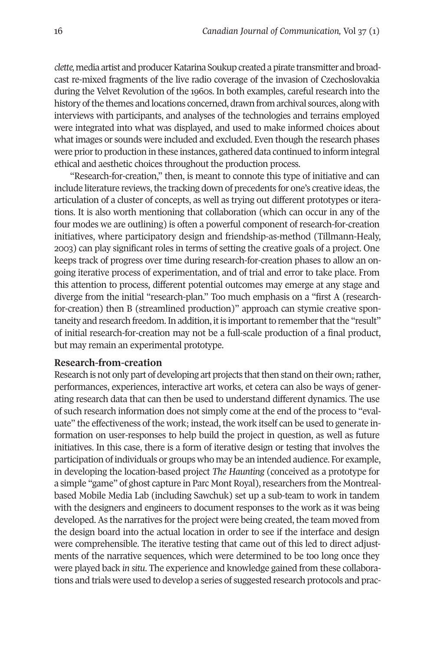*clette,* media artist and producerKatarina Soukup created a pirate transmitter and broadcast re-mixed fragments of the live radio coverage of the invasion of Czechoslovakia during the Velvet Revolution of the 1960s. In both examples, careful research into the history of the themes and locations concerned, drawn from archival sources, along with interviews with participants, and analyses of the technologies and terrains employed were integrated into what was displayed, and used to make informed choices about what images or sounds were included and excluded. Even though the research phases were priorto production in these instances, gathered data continued to inform integral ethical and aesthetic choices throughout the production process.

"Research-for-creation," then, is meant to connote this type of initiative and can include literature reviews, the tracking down of precedents for one's creative ideas, the articulation of a cluster of concepts, as well as trying out different prototypes or iterations. It is also worth mentioning that collaboration (which can occur in any of the four modes we are outlining) is often a powerful component of research-for-creation initiatives, where participatory design and friendship-as-method (Tillmann-Healy, 2003) can play significant roles in terms of setting the creative goals of a project. One keeps track of progress over time during research-for-creation phases to allow an ongoing iterative process of experimentation, and of trial and error to take place. From this attention to process, different potential outcomes may emerge at any stage and diverge from the initial "research-plan." too much emphasis on a "first A (researchfor-creation) then b (streamlined production)" approach can stymie creative spontaneity and research freedom. In addition, it is important to remember that the "result" of initial research-for-creation may not be a full-scale production of a final product, but may remain an experimental prototype.

#### **Research-from-creation**

Research is not only part of developing art projects that then stand on their own; rather, performances, experiences, interactive art works, et cetera can also be ways of generating research data that can then be used to understand different dynamics. the use of such research information does not simply come at the end of the process to "evaluate" the effectiveness of the work; instead, the work itself can be used to generate information on user-responses to help build the project in question, as well as future initiatives. In this case, there is a form of iterative design or testing that involves the participation of individuals or groups who may be an intended audience. For example, in developing the location-based project *The Haunting* (conceived as a prototype for a simple "game" of ghost capture in Parc Mont Royal), researchers from the Montrealbased mobile media Lab (including Sawchuk) set up a sub-team to work in tandem with the designers and engineers to document responses to the work as it was being developed. As the narratives for the project were being created, the team moved from the design board into the actual location in order to see if the interface and design were comprehensible. The iterative testing that came out of this led to direct adjustments of the narrative sequences, which were determined to be too long once they were played back *in situ*. the experience and knowledge gained from these collaborations and trials were used to develop a series of suggested research protocols and prac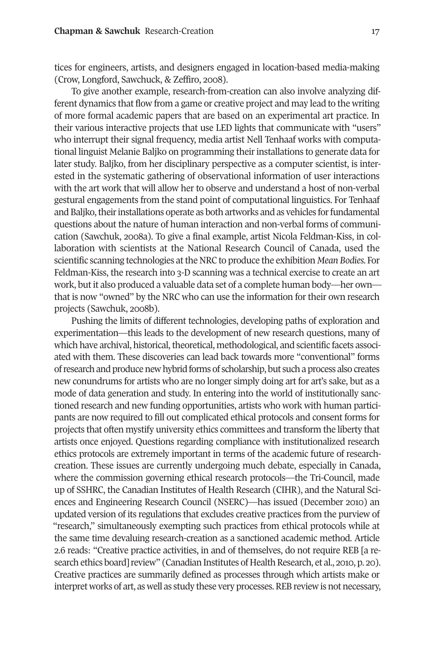tices for engineers, artists, and designers engaged in location-based media-making (Crow, Longford, Sawchuck, & Zeffiro, 2008).

To give another example, research-from-creation can also involve analyzing different dynamics that flow from a game or creative project and may lead to the writing of more formal academic papers that are based on an experimental art practice. In their various interactive projects that use LED lights that communicate with "users" who interrupt their signal frequency, media artist Nell Tenhaaf works with computational linguist Melanie Baljko on programming their installations to generate data for later study. baljko, from her disciplinary perspective as a computer scientist, is interested in the systematic gathering of observational information of user interactions with the art work that will allow her to observe and understand a host of non-verbal gestural engagements from the stand point of computational linguistics. For tenhaaf and Baljko, their installations operate as both artworks and as vehicles for fundamental questions about the nature of human interaction and non-verbal forms of communication (Sawchuk, 2008a). to give a final example, artist Nicola Feldman-Kiss, in collaboration with scientists at the National research Council of Canada, used the scientific scanning technologies atthe NrC to produce the exhibition *Mean Bodies.* For Feldman-Kiss, the research into 3-D scanning was a technical exercise to create an art work, but it also produced a valuable data set of a complete human body—her own that is now "owned" by the NrC who can use the information for their own research projects (Sawchuk, 2008b).

Pushing the limits of different technologies, developing paths of exploration and experimentation—this leads to the development of new research questions, many of which have archival, historical, theoretical, methodological, and scientific facets associated with them. these discoveries can lead back towards more "conventional" forms ofresearchand producenewhybrid forms of scholarship, but sucha process also creates new conundrums for artists who are no longer simply doing art for art's sake, but as a mode of data generation and study. In entering into the world of institutionally sanctioned research and new funding opportunities, artists who work with human participants are now required to fill out complicated ethical protocols and consent forms for projects that often mystify university ethics committees and transform the liberty that artists once enjoyed. Questions regarding compliance with institutionalized research ethics protocols are extremely important in terms of the academic future of researchcreation. these issues are currently undergoing much debate, especially in Canada, where the commission governing ethical research protocols—the Tri-Council, made up of SSHrC, the Canadian Institutes of Health research (CIHr), and the Natural Sciences and Engineering Research Council (NSERC)—has issued (December 2010) an updated version of its regulations that excludes creative practices from the purview of "research," simultaneously exempting such practices from ethical protocols while at the same time devaluing research-creation as a sanctioned academic method. Article 2.6 reads: "Creative practice activities, in and of themselves, do not require REB [a research ethics board] review" (Canadian Institutes of Health Research, et al., 2010, p. 20). Creative practices are summarily defined as processes through which artists make or interpret works of art, as well as study these very processes. REB review is not necessary,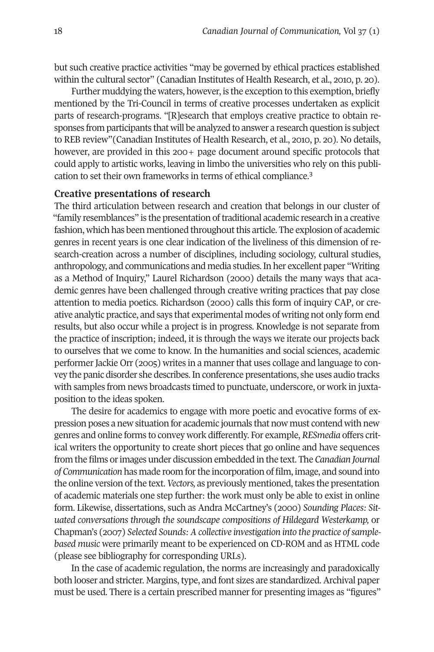but such creative practice activities "may be governed by ethical practices established within the cultural sector" (Canadian Institutes of Health Research, et al., 2010, p. 20).

Further muddying the waters, however, is the exception to this exemption, briefly mentioned by the Tri-Council in terms of creative processes undertaken as explicit parts of research-programs. "[R]esearch that employs creative practice to obtain responses from participants that will be analyzed to answer a research question is subject to REB review"(Canadian Institutes of Health Research, et al., 2010, p. 20). No details, however, are provided in this 200+ page document around specific protocols that could apply to artistic works, leaving in limbo the universities who rely on this publication to set their own frameworks in terms of ethical compliance.<sup>3</sup>

#### **Creative presentations of research**

the third articulation between research and creation that belongs in our cluster of "family resemblances" is the presentation of traditional academic research in a creative fashion, which has been mentioned throughout this article. The explosion of academic genres in recent years is one clear indication of the liveliness of this dimension of research-creation across a number of disciplines, including sociology, cultural studies, anthropology, and communications and media studies.In her excellent paper "writing as a Method of Inquiry," Laurel Richardson (2000) details the many ways that academic genres have been challenged through creative writing practices that pay close attention to media poetics. Richardson (2000) calls this form of inquiry CAP, or creative analytic practice, and says that experimental modes of writing not only form end results, but also occur while a project is in progress. Knowledge is not separate from the practice of inscription; indeed, it is through the ways we iterate our projects back to ourselves that we come to know. In the humanities and social sciences, academic performer Jackie Orr (2005) writes in a manner that uses collage and language to convey the panic disorder she describes.In conference presentations, she uses audio tracks with samples from news broadcasts timed to punctuate, underscore, or work in juxtaposition to the ideas spoken.

The desire for academics to engage with more poetic and evocative forms of expression poses a new situation for academic journals that now must contend with new genres and online forms to convey work differently. For example, *RESmedia* offers critical writers the opportunity to create short pieces that go online and have sequences from the films orimages under discussion embedded in the text. the *Canadian Journal of Communication* has made room forthe incorporation of film, image, and sound into the online version of the text. *Vectors*, as previously mentioned, takes the presentation of academic materials one step further: the work must only be able to exist in online form. Likewise, dissertations, such as Andra mcCartney's (2000) *Sounding Places: Situated conversations through the soundscape compositions of Hildegard Westerkamp,* or Chapman's (2007) *Selected Sounds: A collective investigation into the practice ofsamplebased* music were primarily meant to be experienced on CD-ROM and as HTML code (please see bibliography for corresponding URLs).

In the case of academic regulation, the norms are increasingly and paradoxically both looser and stricter. Margins, type, and font sizes are standardized. Archival paper must be used. There is a certain prescribed manner for presenting images as "figures"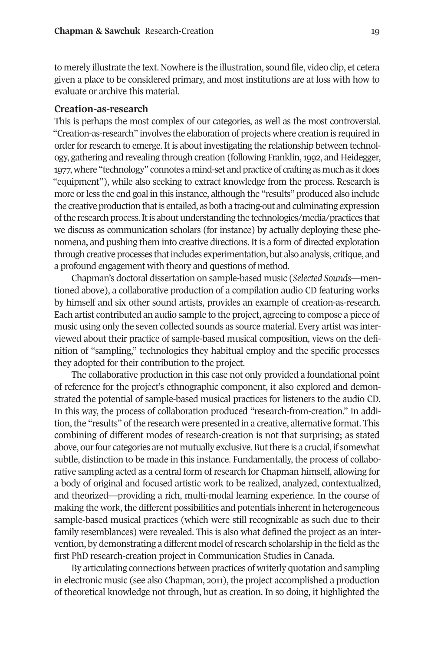to merely illustrate the text. Nowhere is the illustration, sound file, video clip, et cetera given a place to be considered primary, and most institutions are at loss with how to evaluate or archive this material.

#### **Creation-as-research**

this is perhaps the most complex of our categories, as well as the most controversial. "Creation-as-research" involves the elaboration of projects where creation is required in order for research to emerge. It is about investigating the relationship between technology, gathering and revealing through creation (following Franklin,1992, and Heidegger, 1977,where "technology" connotes amind-set andpractice of crafting asmuchas it does "equipment"), while also seeking to extract knowledge from the process. Research is more orless the end goal in this instance, although the "results" produced also include the creative production that is entailed, as both a tracing-out and culminating expression of the research process. It is about understanding the technologies/media/practices that we discuss as communication scholars (for instance) by actually deploying these phenomena, and pushing them into creative directions. It is a form of directed exploration through creative processes that includes experimentation, but also analysis, critique, and a profound engagement with theory and questions of method.

Chapman's doctoral dissertation on sample-based music (*Selected Sounds*—mentioned above), a collaborative production of a compilation audio CD featuring works by himself and six other sound artists, provides an example of creation-as-research. Each artist contributed an audio sample to the project, agreeing to compose a piece of music using only the seven collected sounds as source material. every artist was interviewed about their practice of sample-based musical composition, views on the definition of "sampling," technologies they habitual employ and the specific processes they adopted for their contribution to the project.

The collaborative production in this case not only provided a foundational point of reference for the project's ethnographic component, it also explored and demonstrated the potential of sample-based musical practices for listeners to the audio CD. In this way, the process of collaboration produced "research-from-creation." In addition, the "results" of the research were presented in a creative, alternative format. This combining of different modes of research-creation is not that surprising; as stated above, our four categories are not mutually exclusive. But there is a crucial, if somewhat subtle, distinction to be made in this instance. Fundamentally, the process of collaborative sampling acted as a central form of research for Chapman himself, allowing for a body of original and focused artistic work to be realized, analyzed, contextualized, and theorized—providing a rich, multi-modal learning experience. In the course of making the work, the different possibilities and potentials inherent in heterogeneous sample-based musical practices (which were still recognizable as such due to their family resemblances) were revealed. This is also what defined the project as an intervention, by demonstrating a different model ofresearch scholarship in the field as the first PhD research-creation project in Communication Studies in Canada.

by articulating connections between practices of writerly quotation and sampling in electronic music (see also Chapman, 2011), the project accomplished a production of theoretical knowledge not through, but as creation. In so doing, it highlighted the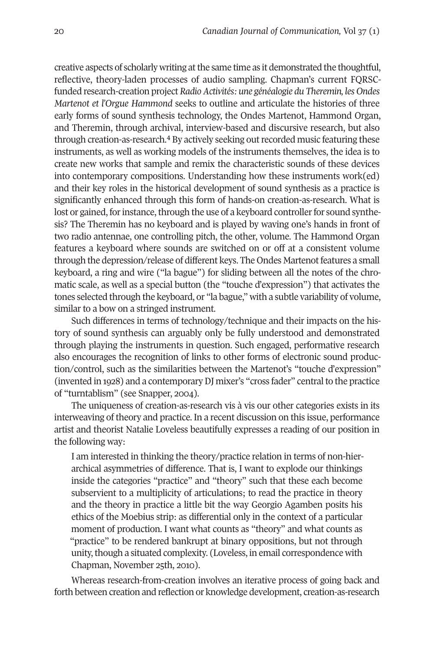creative aspects of scholarly writing atthe same time as it demonstrated the thoughtful, reflective, theory-laden processes of audio sampling. Chapman's current FQrSCfunded research-creation project *RadioActivités: une généalogie du Theremin, les Ondes Martenot et l'Orgue Hammond* seeks to outline and articulate the histories of three early forms of sound synthesis technology, the Ondes martenot, Hammond Organ, and theremin, through archival, interview-based and discursive research, but also through creation-as-research.<sup>4</sup> By actively seeking out recorded music featuring these instruments, as well as working models of the instruments themselves, the idea is to create new works that sample and remix the characteristic sounds of these devices into contemporary compositions. Understanding how these instruments work(ed) and their key roles in the historical development of sound synthesis as a practice is significantly enhanced through this form of hands-on creation-as-research. what is lost or gained, for instance, through the use of a keyboard controller for sound synthesis? The Theremin has no keyboard and is played by waving one's hands in front of two radio antennae, one controlling pitch, the other, volume. The Hammond Organ features a keyboard where sounds are switched on or off at a consistent volume through the depression/release of different keys. The Ondes Martenot features a small keyboard, a ring and wire ("la bague") for sliding between all the notes of the chromatic scale, as well as a special button (the "touche d'expression") that activates the tones selected through the keyboard, or "la bague," with a subtle variability of volume, similar to a bow on a stringed instrument.

Such differences in terms of technology/technique and their impacts on the history of sound synthesis can arguably only be fully understood and demonstrated through playing the instruments in question. Such engaged, performative research also encourages the recognition of links to other forms of electronic sound production/control, such as the similarities between the martenot's "touche d'expression" (invented in 1928) and a contemporary DJ mixer's "cross fader" central to the practice of "turntablism" (see Snapper, 2004).

The uniqueness of creation-as-research vis à vis our other categories exists in its interweaving of theory and practice. In a recent discussion on this issue, performance artist and theorist Natalie Loveless beautifully expresses a reading of our position in the following way:

I am interested in thinking the theory/practice relation in terms of non-hierarchical asymmetries of difference. that is, I want to explode our thinkings inside the categories "practice" and "theory" such that these each become subservient to a multiplicity of articulations; to read the practice in theory and the theory in practice a little bit the way Georgio Agamben posits his ethics of the moebius strip: as differential only in the context of a particular moment of production. I want what counts as "theory" and what counts as "practice" to be rendered bankrupt at binary oppositions, but not through unity, though a situated complexity. (Loveless, in email correspondence with Chapman, November 25th, 2010).

whereas research-from-creation involves an iterative process of going back and forth between creation and reflection or knowledge development, creation-as-research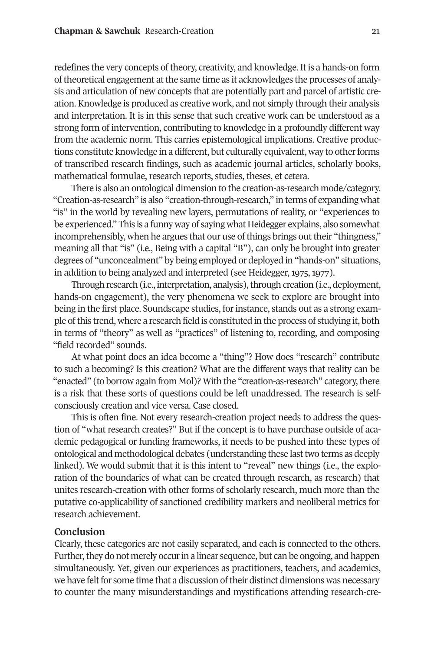redefines the very concepts of theory, creativity, and knowledge. It is a hands-on form oftheoretical engagement atthe same time as it acknowledges the processes of analysis and articulation of new concepts that are potentially part and parcel of artistic creation. Knowledge is produced as creative work, and not simply through their analysis and interpretation. It is in this sense that such creative work can be understood as a strong form of intervention, contributing to knowledge in a profoundly different way from the academic norm. this carries epistemological implications. Creative productions constitute knowledge in a different, but culturally equivalent, way to other forms of transcribed research findings, such as academic journal articles, scholarly books, mathematical formulae, research reports, studies, theses, et cetera.

there is also an ontological dimension to the creation-as-research mode/category. "Creation-as-research" is also "creation-through-research," in terms of expanding what "is" in the world by revealing new layers, permutations of reality, or "experiences to be experienced." this is a funny way of saying what Heidegger explains, also somewhat incomprehensibly, when he argues that our use of things brings out their "thingness," meaning all that "is" (i.e., being with a capital "b"), can only be brought into greater degrees of "unconcealment" by being employed or deployed in "hands-on" situations, in addition to being analyzed and interpreted (see Heidegger, 1975, 1977).

Through research (i.e., interpretation, analysis), through creation (i.e., deployment, hands-on engagement), the very phenomena we seek to explore are brought into being in the first place. Soundscape studies, for instance, stands out as a strong example ofthis trend, where a research field is constituted in the process of studying it, both in terms of "theory" as well as "practices" of listening to, recording, and composing "field recorded" sounds.

At what point does an idea become a "thing"? How does "research" contribute to such a becoming? Is this creation? what are the different ways that reality can be "enacted" (to borrow again from mol)? with the "creation-as-research" category,there is a risk that these sorts of questions could be left unaddressed. the research is selfconsciously creation and vice versa. Case closed.

This is often fine. Not every research-creation project needs to address the question of "what research creates?" but if the concept is to have purchase outside of academic pedagogical or funding frameworks, it needs to be pushed into these types of ontological and methodological debates (understanding these lasttwo terms as deeply linked). we would submit that it is this intent to "reveal" new things (i.e., the exploration of the boundaries of what can be created through research, as research) that unites research-creation with other forms of scholarly research, much more than the putative co-applicability of sanctioned credibility markers and neoliberal metrics for research achievement.

### **Conclusion**

Clearly, these categories are not easily separated, and each is connected to the others. Further, they do not merely occur in a linear sequence, but can be ongoing, and happen simultaneously. yet, given our experiences as practitioners, teachers, and academics, we have felt for some time that a discussion of their distinct dimensions was necessary to counter the many misunderstandings and mystifications attending research-cre-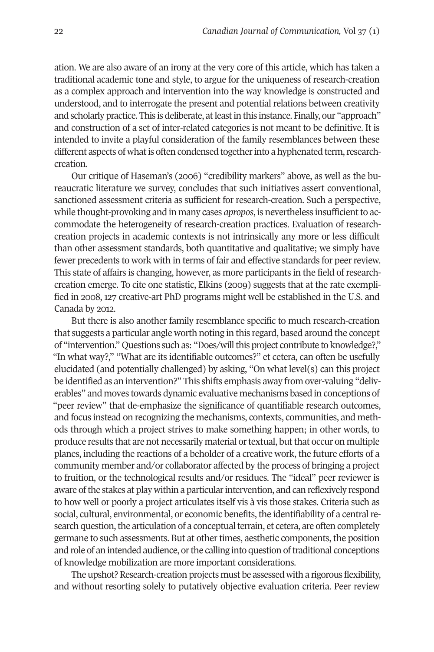ation. we are also aware of an irony at the very core of this article, which has taken a traditional academic tone and style, to argue for the uniqueness of research-creation as a complex approach and intervention into the way knowledge is constructed and understood, and to interrogate the present and potential relations between creativity and scholarly practice. This is deliberate, at least in this instance. Finally, our "approach" and construction of a set of inter-related categories is not meant to be definitive. It is intended to invite a playful consideration of the family resemblances between these different aspects of what is often condensed together into a hyphenated term, researchcreation.

Our critique of Haseman's (2006) "credibility markers" above, as well as the bureaucratic literature we survey, concludes that such initiatives assert conventional, sanctioned assessment criteria as sufficient for research-creation. Such a perspective, while thought-provoking and in many cases *apropos*, is nevertheless insufficient to accommodate the heterogeneity of research-creation practices. evaluation of researchcreation projects in academic contexts is not intrinsically any more or less difficult than other assessment standards, both quantitative and qualitative; we simply have fewer precedents to work with in terms of fair and effective standards for peer review. this state of affairs is changing, however, as more participants in the field of researchcreation emerge. to cite one statistic, elkins (2009) suggests that at the rate exemplified in 2008, 127 creative-art Phd programs might well be established in the u.S. and Canada by 2012.

but there is also another family resemblance specific to much research-creation that suggests a particular angle worth noting in this regard, based around the concept of "intervention." Questions such as: "does/willthis project contribute to knowledge?," "In what way?," "what are its identifiable outcomes?" et cetera, can often be usefully elucidated (and potentially challenged) by asking, "On what level(s) can this project be identified as an intervention?" This shifts emphasis away from over-valuing "deliverables" and moves towards dynamic evaluative mechanisms based in conceptions of "peer review" that de-emphasize the significance of quantifiable research outcomes, and focus instead on recognizing the mechanisms, contexts, communities, and methods through which a project strives to make something happen; in other words, to produce results that are not necessarily material or textual, but that occur on multiple planes, including the reactions of a beholder of a creative work, the future efforts of a community member and/or collaborator affected by the process of bringing a project to fruition, or the technological results and/or residues. the "ideal" peer reviewer is aware ofthe stakes at play within a particularintervention, and can reflexively respond to how well or poorly a project articulates itself vis à vis those stakes. Criteria such as social, cultural, environmental, or economic benefits, the identifiability of a central research question, the articulation of a conceptual terrain, et cetera, are often completely germane to such assessments. but at othertimes, aesthetic components, the position and role of an intended audience, or the calling into question of traditional conceptions of knowledge mobilization are more important considerations.

The upshot? Research-creation projects must be assessed with a rigorous flexibility, and without resorting solely to putatively objective evaluation criteria. Peer review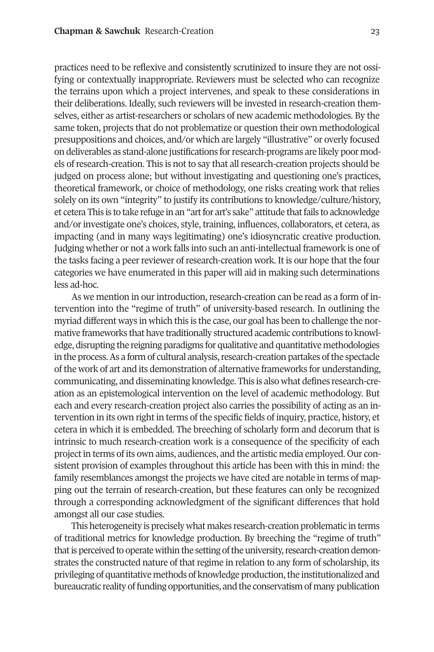practices need to be reflexive and consistently scrutinized to insure they are not ossifying or contextually inappropriate. Reviewers must be selected who can recognize the terrains upon which a project intervenes, and speak to these considerations in their deliberations. Ideally, such reviewers will be invested in research-creation themselves, either as artist-researchers or scholars of new academic methodologies. by the same token, projects that do not problematize or question their own methodological presuppositions and choices, and/or which are largely "illustrative" or overly focused on deliverables as stand-alone justifications forresearch-programs are likely poor models ofresearch-creation. this is not to say that allresearch-creation projects should be judged on process alone; but without investigating and questioning one's practices, theoretical framework, or choice of methodology, one risks creating work that relies solely on its own "integrity" to justify its contributions to knowledge/culture/history, et cetera This is to take refuge in an "art for art's sake" attitude that fails to acknowledge and/or investigate one's choices, style, training, influences, collaborators, et cetera, as impacting (and in many ways legitimating) one's idiosyncratic creative production. Judging whether or not a work falls into such an anti-intellectual framework is one of the tasks facing a peer reviewer of research-creation work. It is our hope that the four categories we have enumerated in this paper will aid in making such determinations less ad-hoc.

As we mention in our introduction, research-creation can be read as a form of intervention into the "regime of truth" of university-based research. In outlining the myriad different ways in which this is the case, our goal has been to challenge the normative frameworks that have traditionally structured academic contributions to knowledge, disrupting the reigning paradigms for qualitative and quantitative methodologies in the process. As a form of cultural analysis, research-creation partakes of the spectacle of the work of art and its demonstration of alternative frameworks for understanding, communicating, and disseminating knowledge. this is also what defines research-creation as an epistemological intervention on the level of academic methodology. but each and every research-creation project also carries the possibility of acting as an intervention in its own right in terms of the specific fields of inquiry, practice, history, et cetera in which it is embedded. the breeching of scholarly form and decorum that is intrinsic to much research-creation work is a consequence of the specificity of each projectin terms of its own aims, audiences, and the artistic media employed. Our consistent provision of examples throughout this article has been with this in mind: the family resemblances amongst the projects we have cited are notable in terms of mapping out the terrain of research-creation, but these features can only be recognized through a corresponding acknowledgment of the significant differences that hold amongst all our case studies.

This heterogeneity is precisely what makes research-creation problematic in terms of traditional metrics for knowledge production. by breeching the "regime of truth" that is perceived to operate within the setting of the university, research-creation demonstrates the constructed nature of that regime in relation to any form of scholarship, its privileging of quantitative methods of knowledge production, the institutionalized and bureaucratic reality offunding opportunities, and the conservatism of many publication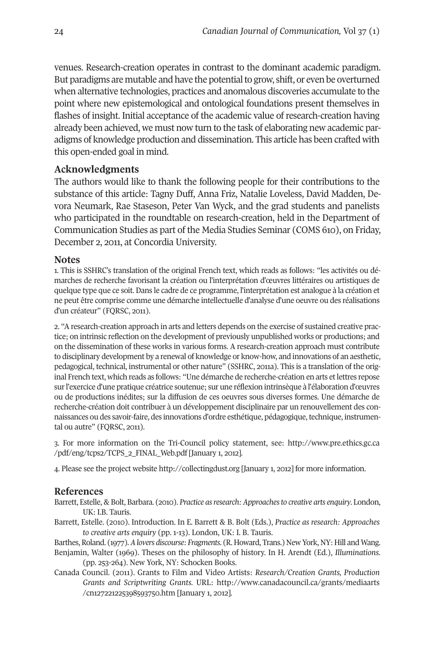venues. Research-creation operates in contrast to the dominant academic paradigm. But paradigms are mutable and have the potential to grow, shift, or even be overturned when alternative technologies, practices and anomalous discoveries accumulate to the point where new epistemological and ontological foundations present themselves in flashes of insight. Initial acceptance of the academic value of research-creation having already been achieved, we must now turn to the task of elaborating new academic paradigms of knowledge production and dissemination. this article has been crafted with this open-ended goal in mind.

# **Acknowledgments**

the authors would like to thank the following people for their contributions to the substance of this article: Tagny Duff, Anna Friz, Natalie Loveless, David Madden, Devora Neumark, rae Staseson, Peter Van wyck, and the grad students and panelists who participated in the roundtable on research-creation, held in the Department of Communication Studies as part of the media Studies Seminar (COmS 610), on Friday, December 2, 2011, at Concordia University.

#### **Notes**

1. this is SSHrC's translation of the original French text, which reads as follows: "les activités ou démarches de recherche favorisant la création ou l'interprétation d'œuvres littéraires ou artistiques de quelque type que ce soit. Dans le cadre de ce programme, l'interprétation est analogue à la création et ne peut être comprise comme une démarche intellectuelle d'analyse d'une oeuvre ou des réalisations d'un créateur" (FORSC, 2011).

2. "A research-creation approach in arts and letters depends on the exercise of sustained creative practice; on intrinsic reflection on the development of previously unpublished works or productions; and on the dissemination of these works in various forms. A research-creation approach must contribute to disciplinary development by a renewal of knowledge or know-how, and innovations of an aesthetic, pedagogical, technical, instrumental or other nature" (SSHrC, 2011a). this is a translation of the original French text, which reads as follows: "Une démarche de recherche-création en arts et lettres repose surl'exercice d'une pratique créatrice soutenue; sur une réflexion intrinsèque à l'élaboration d'œuvres ou de productions inédites; sur la diffusion de ces oeuvres sous diverses formes. une démarche de recherche-création doit contribuer à un développement disciplinaire par un renouvellement des connaissances ou des savoir-faire, des innovations d'ordre esthétique, pédagogique, technique, instrumental ou autre" (FQRSC, 2011).

3. For more information on the tri-Council policy statement, see: [http://www.pre.ethics.gc.ca](http://www.pre.ethics.gc.ca/pdf/eng/tcps2/TCPS_2_FINAL_Web.pdf) [/pdf/eng/tcps2/tCPS\\_2\\_FINAL\\_web.pdf](http://www.pre.ethics.gc.ca/pdf/eng/tcps2/TCPS_2_FINAL_Web.pdf) [January 1, 2012].

4. Please see the project website <http://collectingdust.org> [January 1, 2012] for more information.

# **References**

- barrett, estelle, & bolt, barbara. (2010). *Practice asresearch:Approachesto creative arts enquiry*. London, UK: I.B. Tauris.
- barrett, estelle. (2010). Introduction. In e. barrett & b. bolt (eds.), *Practice as research: Approaches to creative arts enquiry* (pp. 1-13). London, uK: I. b. tauris.

Barthes, Roland. (1977). A lovers discourse: Fragments. (R. Howard, Trans.) New York, NY: Hill and Wang.

- benjamin, walter (1969). theses on the philosophy of history. In H. Arendt (ed.), *Illuminations*. (pp. 253-264). New york, Ny: Schocken books.
- Canada Council. (2011). Grants to Film and Video Artists: *Research/Creation Grants, Production Grants and Scriptwriting Grants.* urL: [http://www.canadacouncil.ca/grants/mediaarts](http://www.canadacouncil.ca/grants/mediaarts/cn127221225398593750.htm) [/cn127221225398593750.htm](http://www.canadacouncil.ca/grants/mediaarts/cn127221225398593750.htm) [January 1, 2012].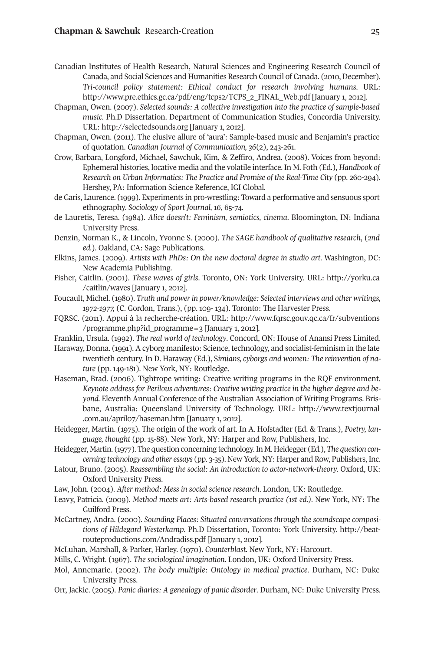- Canadian Institutes of Health Research, Natural Sciences and Engineering Research Council of Canada, and Social Sciences and Humanities Research Council of Canada. (2010, December). *Tri-council policy statement: Ethical conduct for research involving humans*. urL: [http://www.pre.ethics.gc.ca/pdf/eng/tcps2/tCPS\\_2\\_FINAL\\_web.pdf](http://www.pre.ethics.gc.ca/pdf/eng/tcps2/TCPS_2_FINAL_Web.pdf) [January 1, 2012].
- Chapman, Owen. (2007). *Selected sounds: A collective investigation into the practice of sample-based music*. Ph.D Dissertation. Department of Communication Studies, Concordia University. urL: <http://selectedsounds.org> [January 1, 2012].
- Chapman, Owen. (2011). the elusive allure of 'aura': Sample-based music and benjamin's practice of quotation. *Canadian Journal of Communication, 36*(2), 243-261.
- Crow, barbara, Longford, michael, Sawchuk, Kim, & Zeffiro, Andrea. (2008). Voices from beyond: ephemeral histories, locative media and the volatile interface. In m. Foth (ed.), *Handbook of Research on Urban Informatics: The Practice and Promise of the Real-Time City* (pp. 260-294). Hershey, PA: Information Science Reference, IGI Global.
- de Garis, Laurence. (1999). Experiments in pro-wrestling: Toward a performative and sensuous sport ethnography. *Sociology of Sport Journal, 16*, 65-74.
- de Lauretis, teresa. (1984). *Alice doesn't: Feminism, semiotics, cinema*. bloomington, IN: Indiana University Press.
- denzin, Norman K., & Lincoln, yvonne S. (2000). *The SAGE handbook of qualitative research*, (*2nd ed.*). Oakland, CA: Sage Publications.
- elkins, James. (2009). *Artists with PhDs: On the new doctoral degree in studio art*. washington, dC: New Academia Publishing.
- Fisher, Caitlin. (2001). *These waves of girls*. toronto, ON: york university. urL: [http://yorku.ca](http://yorku.ca/caitlin/waves) [/caitlin/waves](http://yorku.ca/caitlin/waves) [January 1, 2012].
- Foucault, michel. (1980). *Truth and powerin power/knowledge: Selected interviews and other writings,* 1972-1977, (C. Gordon, Trans.), (pp. 109-134). Toronto: The Harvester Press.
- FQrSC. (2011). Appui à la recherche-création. urL: [http://www.fqrsc.gouv.qc.ca/fr/subventions](http://www.fqrsc.gouv.qc.ca/fr/subventions/programme.php?id_programme=3) [/programme.php?id\\_programme=3](http://www.fqrsc.gouv.qc.ca/fr/subventions/programme.php?id_programme=3) [January 1, 2012].
- Franklin, ursula. (1992). *The real world of technology*. Concord, ON: House of Anansi Press Limited.
- Haraway, Donna. (1991). A cyborg manifesto: Science, technology, and socialist-feminism in the late twentieth century. In d. Haraway (ed.), S*imians, cyborgs and women: The reinvention of nature* (pp. 149-181). New York, NY: Routledge.
- Haseman, Brad. (2006). Tightrope writing: Creative writing programs in the ROF environment. *Keynote address for Perilous adventures: Creative writing practice in the higher degree and beyond.* Eleventh Annual Conference of the Australian Association of Writing Programs. Brisbane, Australia: Queensland university of technology. urL: [http://www.textjournal](http://www.textjournal.com.au/april07/haseman.htm) [.com.au/april07/haseman.htm](http://www.textjournal.com.au/april07/haseman.htm) [January 1, 2012].
- Heidegger, martin. (1975). the origin of the work of art. In A. Hofstadter (ed. & trans.), *Poetry, language, thought* (pp. 15-88). New york, Ny: Harper and row, Publishers, Inc.
- Heidegger, martin. (1977). the question concerning technology.In m. Heidegger (ed.), *The question concerning technology and other essays* (pp. 3-35). New York, NY: Harper and Row, Publishers, Inc.
- Latour, bruno. (2005). *Reassembling the social: An introduction to actor-network-theory*. Oxford, uK: Oxford University Press.
- Law, John. (2004). *After method: Mess in social science research*. London, uK: routledge.
- Leavy, Patricia. (2009). *Method meets art: Arts-based research practice (1st ed.).* New york, Ny: the Guilford Press.
- mcCartney, Andra. (2000)*. Sounding Places: Situated conversations through the soundscape composi*tions of *Hildegard Westerkamp*. Ph.D Dissertation, Toronto: York University. [http://beat](http://beatrouteproductions.com/Andradiss.pdf)[routeproductions.com/Andradiss.pdf](http://beatrouteproductions.com/Andradiss.pdf) [January 1, 2012].
- mcLuhan, marshall, & Parker, Harley. (1970). *Counterblast*. New york, Ny: Harcourt.
- mills, C. wright. (1967). *The sociological imagination*. London, uK: Oxford university Press.
- mol, Annemarie. (2002). *The body multiple: Ontology in medical practice*. durham, NC: duke University Press.
- Orr, Jackie. (2005). *Panic diaries: A genealogy of panic disorder*. durham, NC: duke university Press.